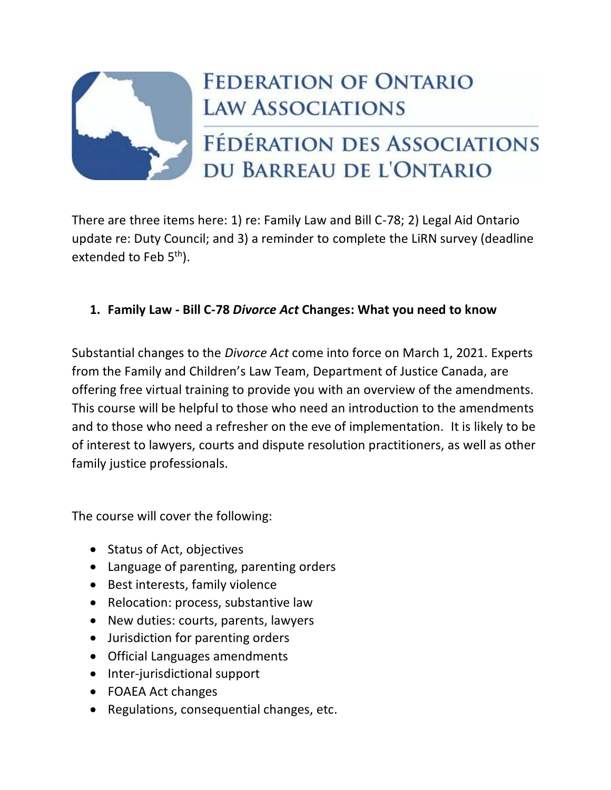

## **FEDERATION OF ONTARIO LAW ASSOCIATIONS**

# FÉDÉRATION DES ASSOCIATIONS DU BARREAU DE L'ONTARIO

There are three items here: 1) re: Family Law and Bill C-78; 2) Legal Aid Ontario update re: Duty Council; and 3) a reminder to complete the LiRN survey (deadline extended to Feb  $5<sup>th</sup>$ ).

## **1. Family Law - Bill C-78** *Divorce Act* **Changes: What you need to know**

Substantial changes to the *Divorce Act* come into force on March 1, 2021. Experts from the Family and Children's Law Team, Department of Justice Canada, are offering free virtual training to provide you with an overview of the amendments. This course will be helpful to those who need an introduction to the amendments and to those who need a refresher on the eve of implementation. It is likely to be of interest to lawyers, courts and dispute resolution practitioners, as well as other family justice professionals.

The course will cover the following:

- Status of Act, objectives
- Language of parenting, parenting orders
- Best interests, family violence
- Relocation: process, substantive law
- New duties: courts, parents, lawyers
- Jurisdiction for parenting orders
- Official Languages amendments
- Inter-jurisdictional support
- FOAEA Act changes
- Regulations, consequential changes, etc.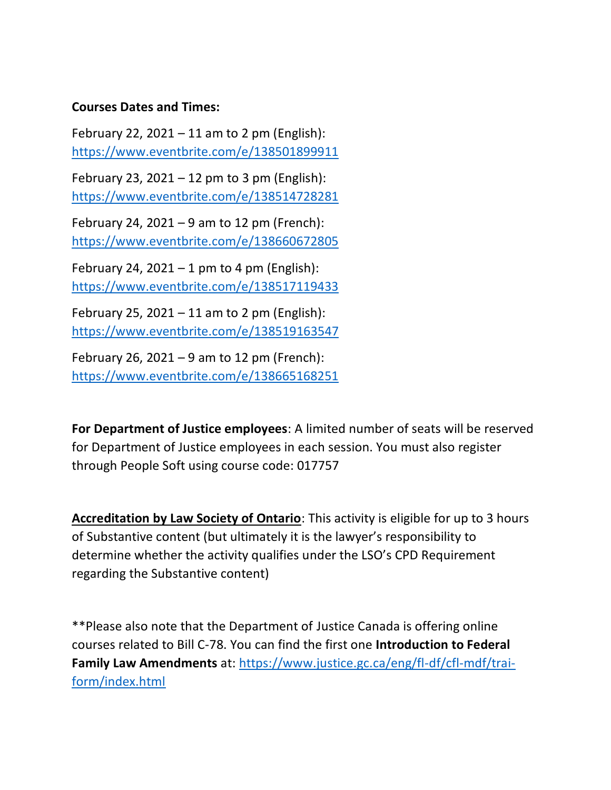#### **Courses Dates and Times:**

February 22, 2021 – 11 am to 2 pm (English): <https://www.eventbrite.com/e/138501899911>

February 23, 2021 – 12 pm to 3 pm (English): <https://www.eventbrite.com/e/138514728281>

February 24, 2021 – 9 am to 12 pm (French): <https://www.eventbrite.com/e/138660672805>

February 24, 2021 – 1 pm to 4 pm (English): <https://www.eventbrite.com/e/138517119433>

February 25, 2021 – 11 am to 2 pm (English): <https://www.eventbrite.com/e/138519163547>

February 26, 2021 – 9 am to 12 pm (French): <https://www.eventbrite.com/e/138665168251>

**For Department of Justice employees**: A limited number of seats will be reserved for Department of Justice employees in each session. You must also register through People Soft using course code: 017757

**Accreditation by Law Society of Ontario**: This activity is eligible for up to 3 hours of Substantive content (but ultimately it is the lawyer's responsibility to determine whether the activity qualifies under the LSO's CPD Requirement regarding the Substantive content)

\*\*Please also note that the Department of Justice Canada is offering online courses related to Bill C-78. You can find the first one **Introduction to Federal Family Law Amendments** at: [https://www.justice.gc.ca/eng/fl-df/cfl-mdf/trai](https://www.justice.gc.ca/eng/fl-df/cfl-mdf/trai-form/index.html)[form/index.html](https://www.justice.gc.ca/eng/fl-df/cfl-mdf/trai-form/index.html)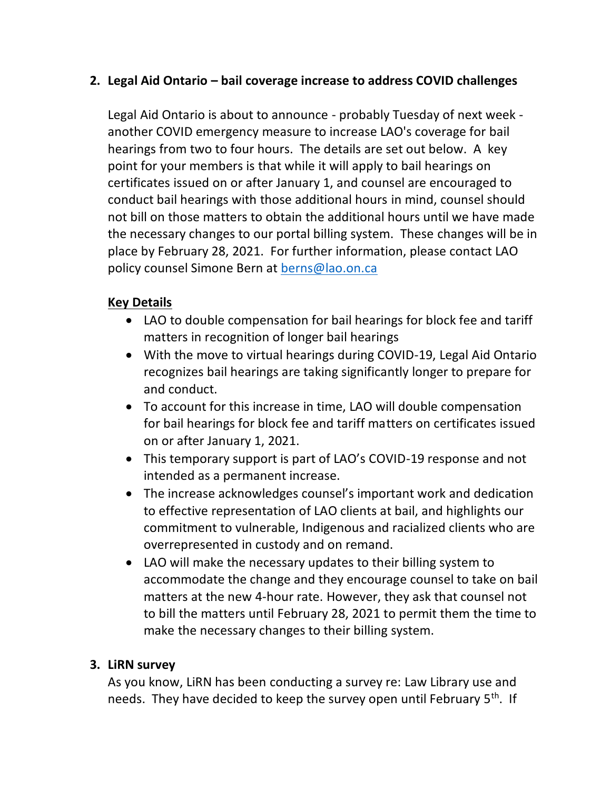## **2. Legal Aid Ontario – bail coverage increase to address COVID challenges**

Legal Aid Ontario is about to announce - probably Tuesday of next week another COVID emergency measure to increase LAO's coverage for bail hearings from two to four hours. The details are set out below. A key point for your members is that while it will apply to bail hearings on certificates issued on or after January 1, and counsel are encouraged to conduct bail hearings with those additional hours in mind, counsel should not bill on those matters to obtain the additional hours until we have made the necessary changes to our portal billing system. These changes will be in place by February 28, 2021. For further information, please contact LAO policy counsel Simone Bern at [berns@lao.on.ca](mailto:berns@lao.on.ca)

## **Key Details**

- LAO to double compensation for bail hearings for block fee and tariff matters in recognition of longer bail hearings
- With the move to virtual hearings during COVID-19, Legal Aid Ontario recognizes bail hearings are taking significantly longer to prepare for and conduct.
- To account for this increase in time, LAO will double compensation for bail hearings for block fee and tariff matters on certificates issued on or after January 1, 2021.
- This temporary support is part of LAO's COVID-19 response and not intended as a permanent increase.
- The increase acknowledges counsel's important work and dedication to effective representation of LAO clients at bail, and highlights our commitment to vulnerable, Indigenous and racialized clients who are overrepresented in custody and on remand.
- LAO will make the necessary updates to their billing system to accommodate the change and they encourage counsel to take on bail matters at the new 4-hour rate. However, they ask that counsel not to bill the matters until February 28, 2021 to permit them the time to make the necessary changes to their billing system.

### **3. LiRN survey**

As you know, LiRN has been conducting a survey re: Law Library use and needs. They have decided to keep the survey open until February 5<sup>th</sup>. If